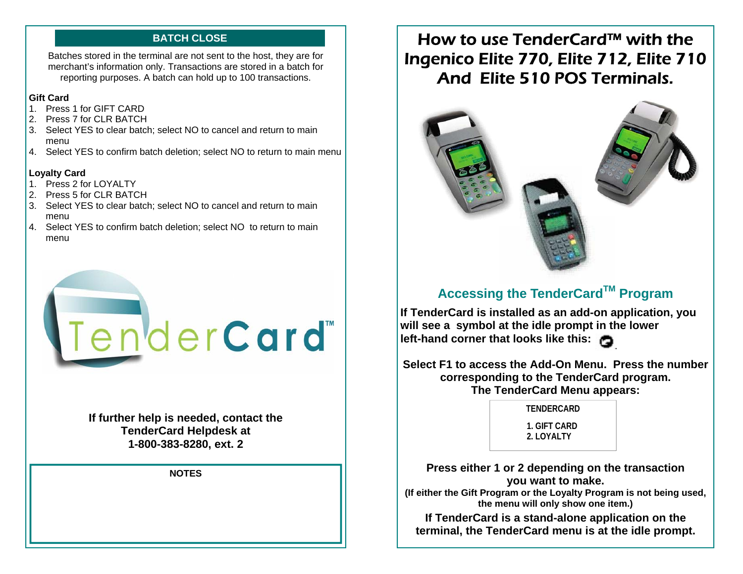#### **BATCH CLOSE**

Batches stored in the terminal are not sent to the host, they are for merchant's information only. Transactions are stored in a batch for reporting purposes. A batch can hold up to 100 transactions.

#### **Gift Card**

- 1. Press 1 for GIFT CARD
- 2. Press 7 for CLR BATCH
- 3. Select YES to clear batch; select NO to cancel and return to main menu
- 4. Select YES to confirm batch deletion; select NO to return to main menu

#### **Loyalty Card**

- 1. Press 2 for LOYALTY
- 2. Press 5 for CLR BATCH
- 3. Select YES to clear batch; select NO to cancel and return to main menu
- 4. Select YES to confirm batch deletion; select NO to return to main menu



**If further help is needed, contact the TenderCard Helpdesk at 1-800-383-8280, ext. 2** 

**NOTES** 

# How to use TenderCard™ with the Ingenico Elite 770, Elite 712, Elite 710 And Elite 510 POS Terminals.



## **Accessing the TenderCardTM Program**

**If TenderCard is installed as an add-on application, you will see a symbol at the idle prompt in the lower left-hand corner that looks like this:** 

**Select F1 to access the Add-On Menu. Press the number corresponding to the TenderCard program. The TenderCard Menu appears:**

> **TENDERCARD 1. GIFT CARD 2. LOYALTY**

**Press either 1 or 2 depending on the transaction you want to make. (If either the Gift Program or the Loyalty Program is not being used, the menu will only show one item.)** 

**If TenderCard is a stand-alone application on the terminal, the TenderCard menu is at the idle prompt.**